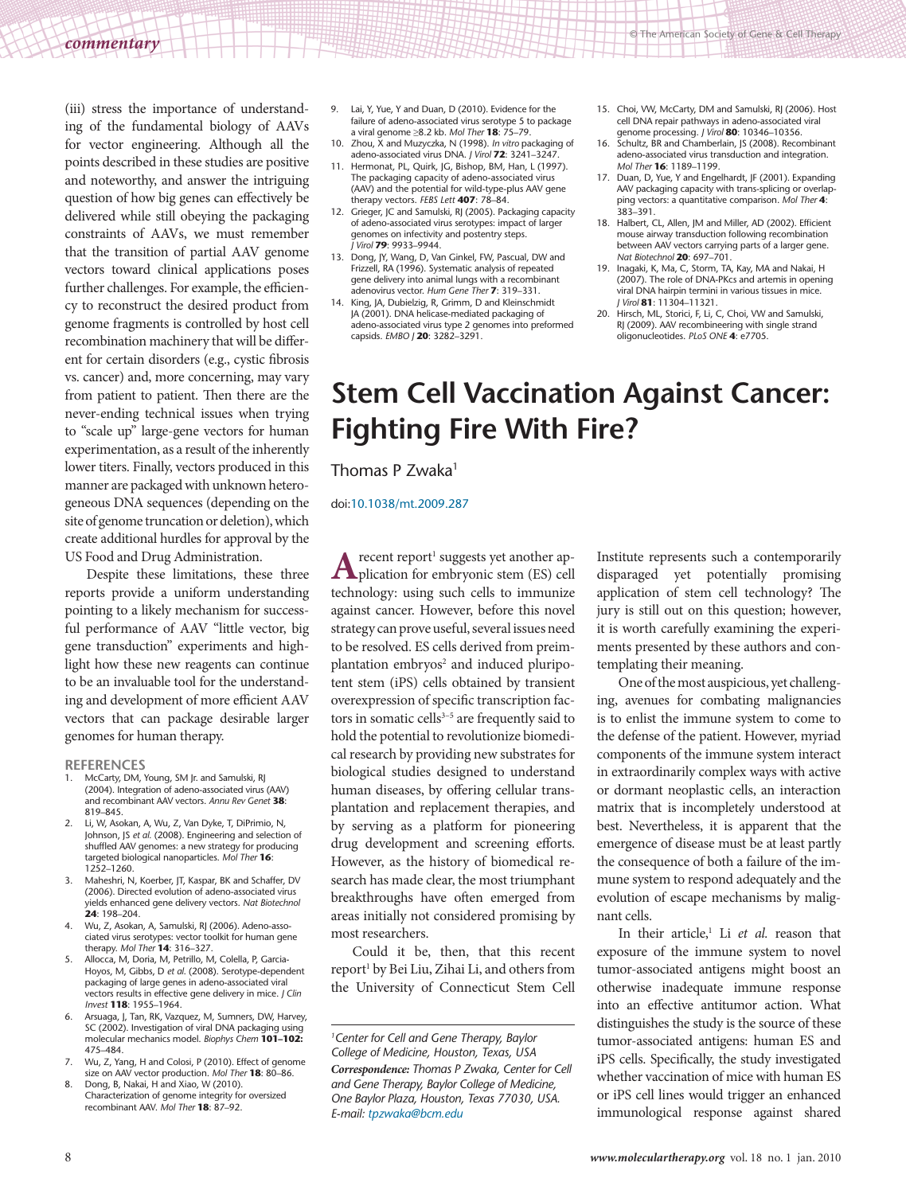*commentary*

(iii) stress the importance of understanding of the fundamental biology of AAVs for vector engineering. Although all the points described in these studies are positive and noteworthy, and answer the intriguing question of how big genes can effectively be delivered while still obeying the packaging constraints of AAVs, we must remember that the transition of partial AAV genome vectors toward clinical applications poses further challenges. For example, the efficiency to reconstruct the desired product from genome fragments is controlled by host cell recombination machinery that will be different for certain disorders (e.g., cystic fibrosis vs. cancer) and, more concerning, may vary from patient to patient. Then there are the never-ending technical issues when trying to "scale up" large-gene vectors for human experimentation, as a result of the inherently lower titers. Finally, vectors produced in this manner are packaged with unknown heterogeneous DNA sequences (depending on the site of genome truncation or deletion), which create additional hurdles for approval by the US Food and Drug Administration.

Despite these limitations, these three reports provide a uniform understanding pointing to a likely mechanism for successful performance of AAV "little vector, big gene transduction" experiments and highlight how these new reagents can continue to be an invaluable tool for the understanding and development of more efficient AAV vectors that can package desirable larger genomes for human therapy.

## **REFERENCES**<br>1 McCarty DM

- 1. McCarty, DM, Young, SM Jr. and Samulski, RJ (2004). Integration of adeno-associated virus (AAV) and recombinant AAV vectors. *Annu Rev Genet* **38**: 819–845.
- 2. Li, W, Asokan, A, Wu, Z, Van Dyke, T, DiPrimio, N, Johnson, JS *et al.* (2008). Engineering and selection of shuffled AAV genomes: a new strategy for producing targeted biological nanoparticles. *Mol Ther* **16**: 1252–1260.
- 3. Maheshri, N, Koerber, JT, Kaspar, BK and Schaffer, DV (2006). Directed evolution of adeno-associated virus yields enhanced gene delivery vectors. *Nat Biotechnol* **24**: 198–204.
- 4. Wu, Z, Asokan, A, Samulski, RJ (2006). Adeno-associated virus serotypes: vector toolkit for human gene therapy. *Mol Ther* **14**: 316–327.
- 5. Allocca, M, Doria, M, Petrillo, M, Colella, P, Garcia-Hoyos, M, Gibbs, D *et al*. (2008). Serotype-dependent packaging of large genes in adeno-associated viral vectors results in effective gene delivery in mice. *J Clin Invest* **118**: 1955–1964.
- 6. Arsuaga, J, Tan, RK, Vazquez, M, Sumners, DW, Harvey, SC (2002). Investigation of viral DNA packaging using molecular mechanics model. *Biophys Chem* **101–102:** 475–484.
- 7. Wu, Z, Yang, H and Colosi, P (2010). Effect of genome size on AAV vector production. *Mol Ther* **18**: 80–86.
- 8. Dong, B, Nakai, H and Xiao, W (2010). Characterization of genome integrity for oversized recombinant AAV. *Mol Ther* **18**: 87–92.
- 9. Lai, Y, Yue, Y and Duan, D (2010). Evidence for the failure of adeno-associated virus serotype 5 to package a viral genome ≥8.2 kb. *Mol Ther* **18**: 75–79.
- 10. Zhou, X and Muzyczka, N (1998). *In vitro* packaging of adeno-associated virus DNA. *J Virol* **72**: 3241–3247.
- 11. Hermonat, PL, Quirk, JG, Bishop, BM, Han, L (1997). The packaging capacity of adeno-associated virus (AAV) and the potential for wild-type-plus AAV gene therapy vectors. *FEBS Lett* **407**: 78–84.
- 12. Grieger, JC and Samulski, RJ (2005). Packaging capacity of adeno-associated virus serotypes: impact of larger genomes on infectivity and postentry steps. *J Virol* **79**: 9933–9944.
- 13. Dong, JY, Wang, D, Van Ginkel, FW, Pascual, DW and Frizzell, RA (1996). Systematic analysis of repeated gene delivery into animal lungs with a recombinant adenovirus vector. *Hum Gene Ther* **7**: 319–331.
- 14. King, JA, Dubielzig, R, Grimm, D and Kleinschmidt JA (2001). DNA helicase-mediated packaging of adeno-associated virus type 2 genomes into preformed capsids. *EMBO J* **20**: 3282–3291.
- 15. Choi, VW, McCarty, DM and Samulski, RJ (2006). Host cell DNA repair pathways in adeno-associated viral
- genome processing. *J Virol* **80**: 10346–10356. 16. Schultz, BR and Chamberlain, JS (2008). Recombinant adeno-associated virus transduction and integration. *Mol Ther* **16**: 1189–1199.
- 17. Duan, D, Yue, Y and Engelhardt, JF (2001). Expanding AAV packaging capacity with trans-splicing or overlapping vectors: a quantitative comparison. *Mol Ther* **4**: 383–391.
- 18. Halbert, CL, Allen, JM and Miller, AD (2002). Efficient mouse airway transduction following recombination between AAV vectors carrying parts of a larger gene. *Nat Biotechnol* **20**: 697–701.
- 19. Inagaki, K, Ma, C, Storm, TA, Kay, MA and Nakai, H (2007). The role of DNA-PKcs and artemis in opening viral DNA hairpin termini in various tissues in mice. *J Virol* **81**: 11304–11321.
- 20. Hirsch, ML, Storici, F, Li, C, Choi, VW and Samulski, RJ (2009). AAV recombineering with single strand oligonucleotides. *PLoS ONE* **4**: e7705.

## **Stem Cell Vaccination Against Cancer: Fighting Fire With Fire?**

Thomas P Zwaka<sup>1</sup>

[doi:10.1038/mt.2009.287](http://www.nature.com/doifinder/10.1038/mt.2009.287)

**A** recent report<sup>1</sup> suggests yet another application for embryonic stem (ES) cell recent report<sup>1</sup> suggests yet another aptechnology: using such cells to immunize against cancer. However, before this novel strategy can prove useful, several issues need to be resolved. ES cells derived from preimplantation embryos<sup>2</sup> and induced pluripotent stem (iPS) cells obtained by transient overexpression of specific transcription factors in somatic cells<sup>3-5</sup> are frequently said to hold the potential to revolutionize biomedical research by providing new substrates for biological studies designed to understand human diseases, by offering cellular transplantation and replacement therapies, and by serving as a platform for pioneering drug development and screening efforts. However, as the history of biomedical research has made clear, the most triumphant breakthroughs have often emerged from areas initially not considered promising by most researchers.

Could it be, then, that this recent report1 by Bei Liu, Zihai Li, and others from the University of Connecticut Stem Cell

Institute represents such a contemporarily disparaged yet potentially promising application of stem cell technology? The jury is still out on this question; however, it is worth carefully examining the experiments presented by these authors and contemplating their meaning.

One of the most auspicious, yet challenging, avenues for combating malignancies is to enlist the immune system to come to the defense of the patient. However, myriad components of the immune system interact in extraordinarily complex ways with active or dormant neoplastic cells, an interaction matrix that is incompletely understood at best. Nevertheless, it is apparent that the emergence of disease must be at least partly the consequence of both a failure of the immune system to respond adequately and the evolution of escape mechanisms by malignant cells.

In their article,<sup>1</sup> Li et al. reason that exposure of the immune system to novel tumor-associated antigens might boost an otherwise inadequate immune response into an effective antitumor action. What distinguishes the study is the source of these tumor-associated antigens: human ES and iPS cells. Specifically, the study investigated whether vaccination of mice with human ES or iPS cell lines would trigger an enhanced immunological response against shared

*<sup>1</sup> Center for Cell and Gene Therapy, Baylor College of Medicine, Houston, Texas, USA Correspondence: Thomas P Zwaka, Center for Cell and Gene Therapy, Baylor College of Medicine, One Baylor Plaza, Houston, Texas 77030, USA. E-mail: [tpzwaka@bcm.edu](mailto:tpzwaka@bcm.edu)*